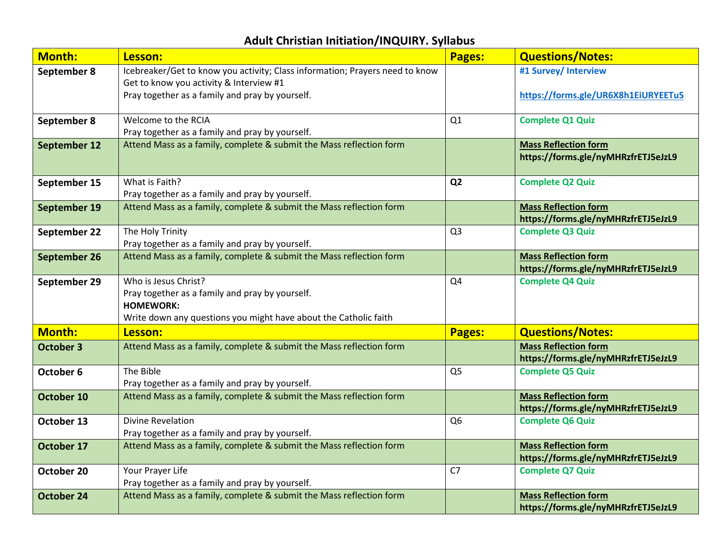## **Adult Christian Initiation/INQUIRY. Syllabus**

| <b>Month:</b>       | Lesson:                                                                      | <b>Pages:</b>  | <b>Questions/Notes:</b>                                            |
|---------------------|------------------------------------------------------------------------------|----------------|--------------------------------------------------------------------|
| September 8         | Icebreaker/Get to know you activity; Class information; Prayers need to know |                | #1 Survey/ Interview                                               |
|                     | Get to know you activity & Interview #1                                      |                |                                                                    |
|                     | Pray together as a family and pray by yourself.                              |                | https://forms.gle/UR6X8h1EiURYEETu5                                |
| September 8         | Welcome to the RCIA                                                          | Q1             | <b>Complete Q1 Quiz</b>                                            |
|                     | Pray together as a family and pray by yourself.                              |                |                                                                    |
| September 12        | Attend Mass as a family, complete & submit the Mass reflection form          |                | <b>Mass Reflection form</b>                                        |
|                     |                                                                              |                | https://forms.gle/nyMHRzfrETJ5eJzL9                                |
| September 15        | What is Faith?                                                               | Q <sub>2</sub> | <b>Complete Q2 Quiz</b>                                            |
|                     | Pray together as a family and pray by yourself.                              |                |                                                                    |
| <b>September 19</b> | Attend Mass as a family, complete & submit the Mass reflection form          |                | <b>Mass Reflection form</b>                                        |
|                     |                                                                              |                | https://forms.gle/nyMHRzfrETJ5eJzL9                                |
| September 22        | The Holy Trinity                                                             | Q <sub>3</sub> | <b>Complete Q3 Quiz</b>                                            |
|                     | Pray together as a family and pray by yourself.                              |                |                                                                    |
| September 26        | Attend Mass as a family, complete & submit the Mass reflection form          |                | <b>Mass Reflection form</b>                                        |
|                     |                                                                              |                | https://forms.gle/nyMHRzfrETJ5eJzL9                                |
| September 29        | Who is Jesus Christ?                                                         | Q <sub>4</sub> | <b>Complete Q4 Quiz</b>                                            |
|                     | Pray together as a family and pray by yourself.<br><b>HOMEWORK:</b>          |                |                                                                    |
|                     | Write down any questions you might have about the Catholic faith             |                |                                                                    |
| <b>Month:</b>       |                                                                              |                |                                                                    |
|                     | Lesson:                                                                      | <b>Pages:</b>  | <b>Questions/Notes:</b>                                            |
| <b>October 3</b>    | Attend Mass as a family, complete & submit the Mass reflection form          |                | <b>Mass Reflection form</b><br>https://forms.gle/nyMHRzfrETJ5eJzL9 |
| October 6           | The Bible                                                                    | Q <sub>5</sub> | <b>Complete Q5 Quiz</b>                                            |
|                     | Pray together as a family and pray by yourself.                              |                |                                                                    |
| October 10          | Attend Mass as a family, complete & submit the Mass reflection form          |                | <b>Mass Reflection form</b>                                        |
|                     |                                                                              |                | https://forms.gle/nyMHRzfrETJ5eJzL9                                |
| October 13          | <b>Divine Revelation</b>                                                     | Q <sub>6</sub> | <b>Complete Q6 Quiz</b>                                            |
|                     | Pray together as a family and pray by yourself.                              |                |                                                                    |
| October 17          | Attend Mass as a family, complete & submit the Mass reflection form          |                | <b>Mass Reflection form</b>                                        |
|                     |                                                                              |                | https://forms.gle/nyMHRzfrETJ5eJzL9                                |
| October 20          | Your Prayer Life                                                             | C <sub>7</sub> | <b>Complete Q7 Quiz</b>                                            |
|                     | Pray together as a family and pray by yourself.                              |                |                                                                    |
| <b>October 24</b>   | Attend Mass as a family, complete & submit the Mass reflection form          |                | <b>Mass Reflection form</b>                                        |
|                     |                                                                              |                | https://forms.gle/nyMHRzfrETJ5eJzL9                                |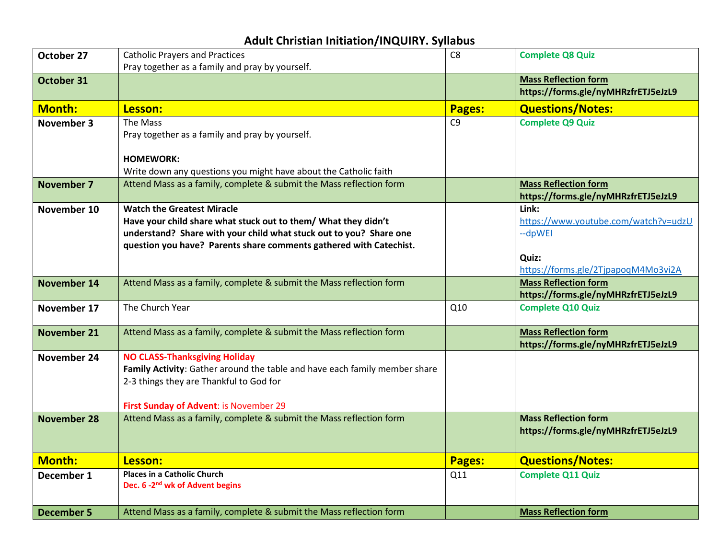## **Adult Christian Initiation/INQUIRY. Syllabus**

| October 27         | <b>Catholic Prayers and Practices</b>                                      | C <sub>8</sub> | <b>Complete Q8 Quiz</b>                                            |
|--------------------|----------------------------------------------------------------------------|----------------|--------------------------------------------------------------------|
|                    | Pray together as a family and pray by yourself.                            |                |                                                                    |
| October 31         |                                                                            |                | <b>Mass Reflection form</b>                                        |
|                    |                                                                            |                | https://forms.gle/nyMHRzfrETJ5eJzL9                                |
| <b>Month:</b>      | Lesson:                                                                    | <b>Pages:</b>  | <b>Questions/Notes:</b>                                            |
| <b>November 3</b>  | The Mass                                                                   | C <sub>9</sub> | <b>Complete Q9 Quiz</b>                                            |
|                    | Pray together as a family and pray by yourself.                            |                |                                                                    |
|                    |                                                                            |                |                                                                    |
|                    | <b>HOMEWORK:</b>                                                           |                |                                                                    |
|                    | Write down any questions you might have about the Catholic faith           |                |                                                                    |
| <b>November 7</b>  | Attend Mass as a family, complete & submit the Mass reflection form        |                | <b>Mass Reflection form</b><br>https://forms.gle/nyMHRzfrETJ5eJzL9 |
| November 10        | <b>Watch the Greatest Miracle</b>                                          |                | Link:                                                              |
|                    | Have your child share what stuck out to them/ What they didn't             |                | https://www.youtube.com/watch?v=udzU                               |
|                    | understand? Share with your child what stuck out to you? Share one         |                | --dpWEI                                                            |
|                    | question you have? Parents share comments gathered with Catechist.         |                |                                                                    |
|                    |                                                                            |                | Quiz:                                                              |
|                    |                                                                            |                | https://forms.gle/2TjpapoqM4Mo3vi2A                                |
| <b>November 14</b> | Attend Mass as a family, complete & submit the Mass reflection form        |                | <b>Mass Reflection form</b>                                        |
|                    |                                                                            |                | https://forms.gle/nyMHRzfrETJ5eJzL9                                |
| November 17        | The Church Year                                                            | Q10            | <b>Complete Q10 Quiz</b>                                           |
| <b>November 21</b> | Attend Mass as a family, complete & submit the Mass reflection form        |                | <b>Mass Reflection form</b>                                        |
|                    |                                                                            |                | https://forms.gle/nyMHRzfrETJ5eJzL9                                |
| November 24        | <b>NO CLASS-Thanksgiving Holiday</b>                                       |                |                                                                    |
|                    | Family Activity: Gather around the table and have each family member share |                |                                                                    |
|                    | 2-3 things they are Thankful to God for                                    |                |                                                                    |
|                    |                                                                            |                |                                                                    |
|                    | First Sunday of Advent: is November 29                                     |                |                                                                    |
| <b>November 28</b> | Attend Mass as a family, complete & submit the Mass reflection form        |                | <b>Mass Reflection form</b>                                        |
|                    |                                                                            |                | https://forms.gle/nyMHRzfrETJ5eJzL9                                |
| <b>Month:</b>      | Lesson:                                                                    | <b>Pages:</b>  | <b>Questions/Notes:</b>                                            |
| December 1         | <b>Places in a Catholic Church</b>                                         | Q11            | <b>Complete Q11 Quiz</b>                                           |
|                    | Dec. 6 -2 <sup>nd</sup> wk of Advent begins                                |                |                                                                    |
|                    |                                                                            |                |                                                                    |
| <b>December 5</b>  | Attend Mass as a family, complete & submit the Mass reflection form        |                | <b>Mass Reflection form</b>                                        |